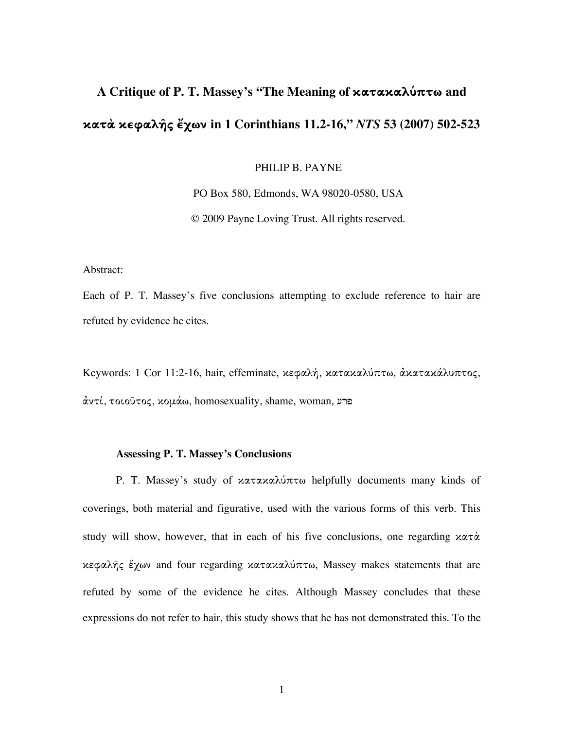# **A Critique of P. T. Massey's "The Meaning of κατακαλ˜πτω and κατÏ κεφαλῆς ἔχων in 1 Corinthians 11.2-16,"** *NTS* **53 (2007) 502-523**

PHILIP B. PAYNE

PO Box 580, Edmonds, WA 98020-0580, USA

© 2009 Payne Loving Trust. All rights reserved.

Abstract:

Each of P. T. Massey's five conclusions attempting to exclude reference to hair are refuted by evidence he cites.

Keywords: 1 Cor 11:2-16, hair, effeminate, κεφαλή, κατακαλύπτω, ἀκατακάλυπτος, αντί, τοιοῦτος, κομάω, homosexuality, shame, woman, μπ

#### **Assessing P. T. Massey's Conclusions**

P. T. Massey's study of κατακαλύπτω helpfully documents many kinds of coverings, both material and figurative, used with the various forms of this verb. This study will show, however, that in each of his five conclusions, one regarding  $x\alpha\tau\dot{\alpha}$ κεφαλῆς ἔχων and four regarding κατακαλ˜πτω, Massey makes statements that are refuted by some of the evidence he cites. Although Massey concludes that these expressions do not refer to hair, this study shows that he has not demonstrated this. To the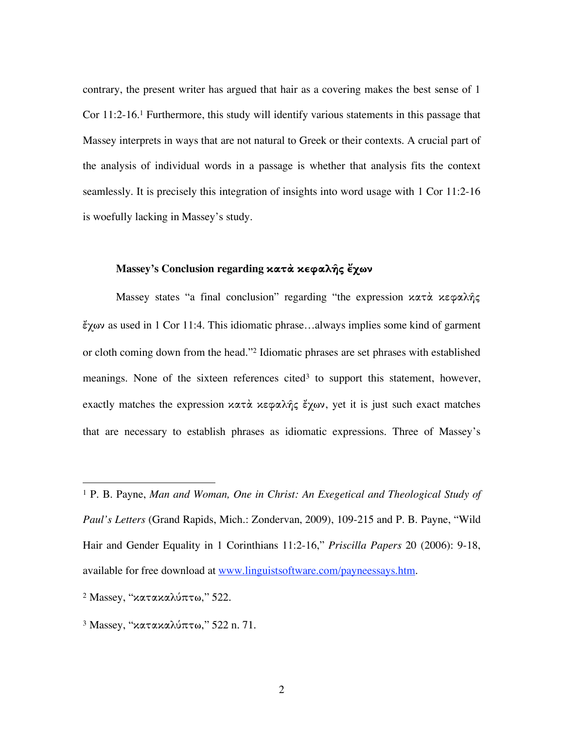contrary, the present writer has argued that hair as a covering makes the best sense of 1 Cor 11:2-16.1 Furthermore, this study will identify various statements in this passage that Massey interprets in ways that are not natural to Greek or their contexts. A crucial part of the analysis of individual words in a passage is whether that analysis fits the context seamlessly. It is precisely this integration of insights into word usage with 1 Cor 11:2-16 is woefully lacking in Massey's study.

# **Massey's Conclusion regarding κατÏ κεφαλῆς ἔχων**

Massey states "a final conclusion" regarding "the expression κατά κεφαλής ἔχων as used in 1 Cor 11:4. This idiomatic phrase…always implies some kind of garment or cloth coming down from the head."2 Idiomatic phrases are set phrases with established meanings. None of the sixteen references cited<sup>3</sup> to support this statement, however, exactly matches the expression κατά κεφαλής έχων, yet it is just such exact matches that are necessary to establish phrases as idiomatic expressions. Three of Massey's

 <sup>1</sup> P. B. Payne, *Man and Woman, One in Christ: An Exegetical and Theological Study of Paul's Letters* (Grand Rapids, Mich.: Zondervan, 2009), 109-215 and P. B. Payne, "Wild Hair and Gender Equality in 1 Corinthians 11:2-16," *Priscilla Papers* 20 (2006): 9-18, available for free download at www.linguistsoftware.com/payneessays.htm.

<sup>&</sup>lt;sup>2</sup> Massey, "κατακαλύπτω," 522.

 $3$  Massey, "κατακαλύπτω," 522 n. 71.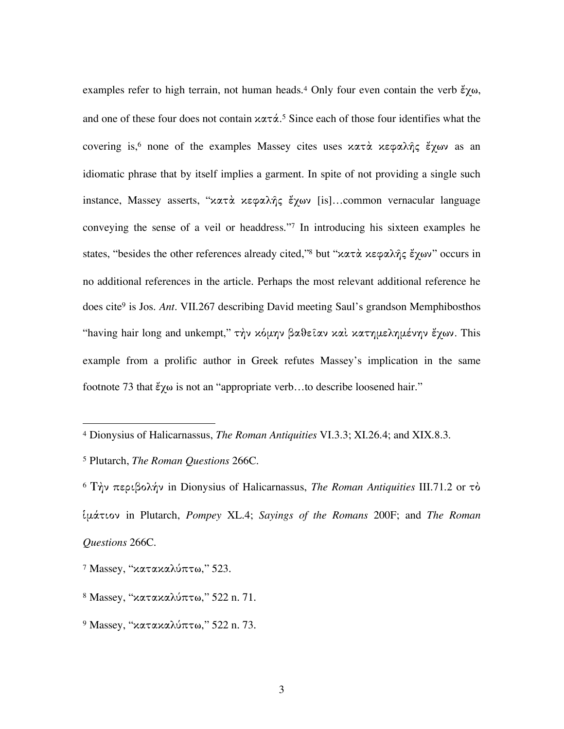examples refer to high terrain, not human heads. <sup>4</sup> Only four even contain the verb ἔχω, and one of these four does not contain  $x \alpha \tau \dot{\alpha}$ .<sup>5</sup> Since each of those four identifies what the covering is,<sup>6</sup> none of the examples Massey cites uses κατά κεφαλής έχων as an idiomatic phrase that by itself implies a garment. In spite of not providing a single such instance, Massey asserts, "κατά κεφαλής έχων [is]...common vernacular language conveying the sense of a veil or headdress."7 In introducing his sixteen examples he states, "besides the other references already cited,"8 but "κατὰ κεφαλῆς ἔχων" occurs in no additional references in the article. Perhaps the most relevant additional reference he does cite9 is Jos. *Ant*. VII.267 describing David meeting Saul's grandson Memphibosthos "having hair long and unkempt," τὴν κόμην βαθεῖαν καὶ κατημελημένην ἔχων. This example from a prolific author in Greek refutes Massey's implication in the same footnote 73 that ἔχω is not an "appropriate verb…to describe loosened hair."

 <sup>4</sup> Dionysius of Halicarnassus, *The Roman Antiquities* VI.3.3; XI.26.4; and XIX.8.3.

<sup>5</sup> Plutarch, *The Roman Questions* 266C.

<sup>6</sup> Τὴν περιβολήν in Dionysius of Halicarnassus, *The Roman Antiquities* III.71.2 or τÙ ἱμÌτιον in Plutarch, *Pompey* XL.4; *Sayings of the Romans* 200F; and *The Roman Questions* 266C.

 $7$  Massey, "κατακαλύπτω," 523.

 $8$  Massey, "κατακαλύπτω," 522 n. 71.

<sup>&</sup>lt;sup>9</sup> Massey, "κατακαλύπτω," 522 n. 73.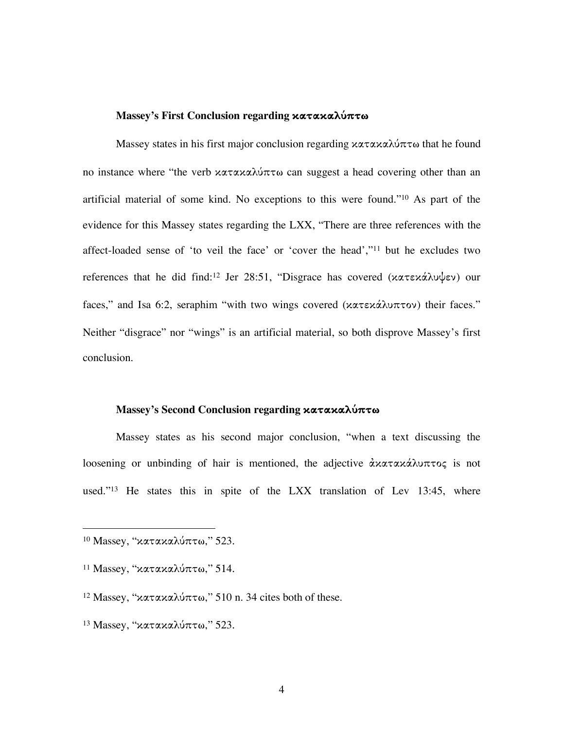# **Massey's First Conclusion regarding κατακαλ˜πτω**

Massey states in his first major conclusion regarding κατακαλύπτω that he found no instance where "the verb κατακαλύπτω can suggest a head covering other than an artificial material of some kind. No exceptions to this were found."10 As part of the evidence for this Massey states regarding the LXX, "There are three references with the affect-loaded sense of 'to veil the face' or 'cover the head',"11 but he excludes two references that he did find:<sup>12</sup> Jer 28:51, "Disgrace has covered (κατεκάλυψεν) our faces," and Isa 6:2, seraphim "with two wings covered (κατεκάλυπτον) their faces." Neither "disgrace" nor "wings" is an artificial material, so both disprove Massey's first conclusion.

## **Massey's Second Conclusion regarding κατακαλ˜πτω**

Massey states as his second major conclusion, "when a text discussing the loosening or unbinding of hair is mentioned, the adjective αλατακάλυπτος is not used."<sup>13</sup> He states this in spite of the LXX translation of Lev 13:45, where

 $10$  Massey, "κατακαλύπτω," 523.

<sup>&</sup>lt;sup>11</sup> Massey, "κατακαλύπτω," 514.

<sup>&</sup>lt;sup>12</sup> Massey, "κατακαλύπτω," 510 n. 34 cites both of these.

<sup>&</sup>lt;sup>13</sup> Massey, "κατακαλύπτω," 523.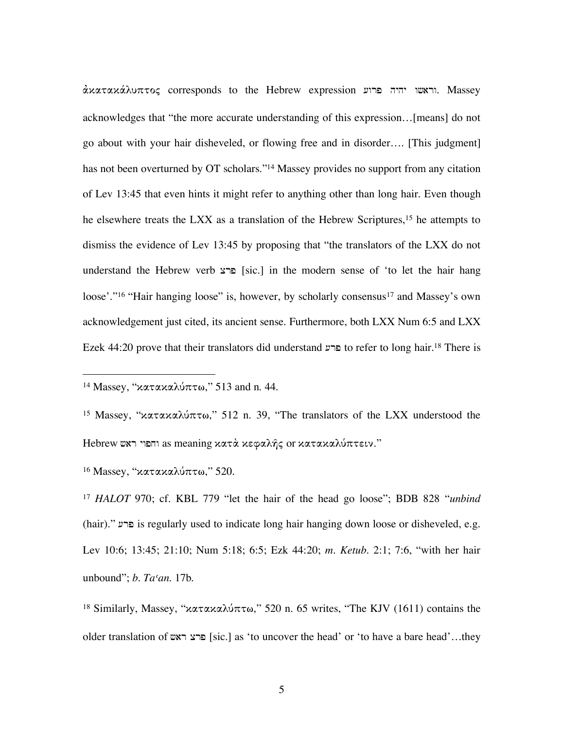$\dot{\alpha}$ וראשו יהיה פרוע expression וראשו יהיה Massey. Massey acknowledges that "the more accurate understanding of this expression…[means] do not go about with your hair disheveled, or flowing free and in disorder…. [This judgment] has not been overturned by OT scholars."14 Massey provides no support from any citation of Lev 13:45 that even hints it might refer to anything other than long hair. Even though he elsewhere treats the LXX as a translation of the Hebrew Scriptures,<sup>15</sup> he attempts to dismiss the evidence of Lev 13:45 by proposing that "the translators of the LXX do not understand the Hebrew verb  $s$ רצ [sic.] in the modern sense of 'to let the hair hang loose'."<sup>16</sup> "Hair hanging loose" is, however, by scholarly consensus<sup>17</sup> and Massey's own acknowledgement just cited, its ancient sense. Furthermore, both LXX Num 6:5 and LXX  $E$ zek 44:20 prove that their translators did understand ברע to refer to long hair.<sup>18</sup> There is

<sup>16</sup> Massey, "κατακαλύπτω," 520.

<sup>17</sup> *HALOT* 970; cf. KBL 779 "let the hair of the head go loose"; BDB 828 "*unbind* (hair)." is regularly used to indicate long hair hanging down loose or disheveled, e.g. Lev 10:6; 13:45; 21:10; Num 5:18; 6:5; Ezk 44:20; *m. Ketub.* 2:1; 7:6, "with her hair unbound"; *b. Taʿan*. 17b.

<sup>18</sup> Similarly, Massey, "κατακαλύπτω," 520 n. 65 writes, "The KJV (1611) contains the older translation of **ברצ ראש** [sic.] as 'to uncover the head' or 'to have a bare head'...they

<sup>&</sup>lt;sup>14</sup> Massey, "κατακαλύπτω," 513 and n. 44.

<sup>&</sup>lt;sup>15</sup> Massey, "κατακαλύπτω," 512 n. 39, "The translators of the LXX understood the Hebrew וחפוי ראש as meaning κατὰ κεφαλῆς or κατακαλύπτειν."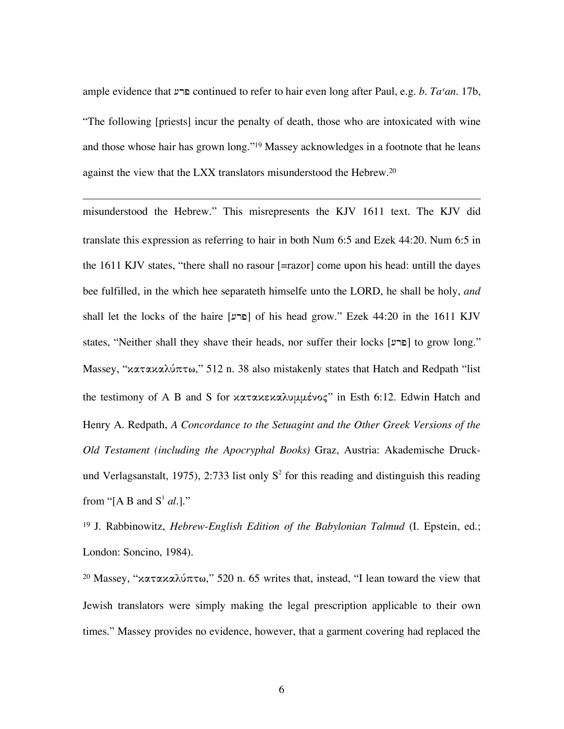ample evidence that [rp continued to refer to hair even long after Paul, e.g. *b. Taʿan*. 17b, "The following [priests] incur the penalty of death, those who are intoxicated with wine and those whose hair has grown long."19 Massey acknowledges in a footnote that he leans against the view that the LXX translators misunderstood the Hebrew. 20

 $\overline{a}$ 

misunderstood the Hebrew." This misrepresents the KJV 1611 text. The KJV did translate this expression as referring to hair in both Num 6:5 and Ezek 44:20. Num 6:5 in the 1611 KJV states, "there shall no rasour [=razor] come upon his head: untill the dayes bee fulfilled, in the which hee separateth himselfe unto the LORD, he shall be holy, *and* shall let the locks of the haire [פרע] of his head grow." Ezek 44:20 in the 1611 KJV states, "Neither shall they shave their heads, nor suffer their locks [פרע] to grow long." Massey, "κατακαλύπτω," 512 n. 38 also mistakenly states that Hatch and Redpath "list the testimony of A B and S for κατακεκαλυμμένος" in Esth 6:12. Edwin Hatch and Henry A. Redpath, *A Concordance to the Setuagint and the Other Greek Versions of the Old Testament (including the Apocryphal Books)* Graz, Austria: Akademische Druckund Verlagsanstalt, 1975), 2:733 list only  $S<sup>2</sup>$  for this reading and distinguish this reading from "[A B and  $S^1$  *al.*]."

<sup>19</sup> J. Rabbinowitz, *Hebrew-English Edition of the Babylonian Talmud* (I. Epstein, ed.; London: Soncino, 1984).

<sup>20</sup> Massey, "κατακαλύπτω," 520 n. 65 writes that, instead, "I lean toward the view that Jewish translators were simply making the legal prescription applicable to their own times." Massey provides no evidence, however, that a garment covering had replaced the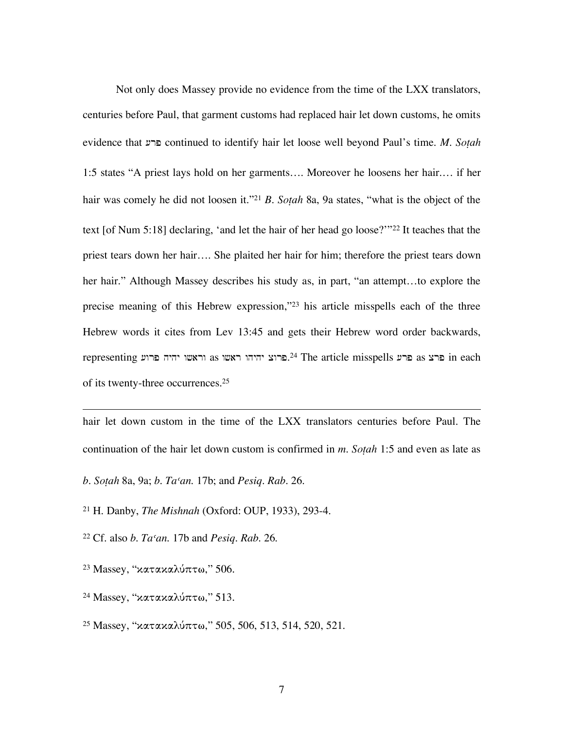Not only does Massey provide no evidence from the time of the LXX translators, centuries before Paul, that garment customs had replaced hair let down customs, he omits evidence that [rp continued to identify hair let loose well beyond Paul's time. *M. Soṭah* 1:5 states "A priest lays hold on her garments…. Moreover he loosens her hair.… if her hair was comely he did not loosen it."21 *B. Soṭah* 8a, 9a states, "what is the object of the text [of Num 5:18] declaring, 'and let the hair of her head go loose?'"22 It teaches that the priest tears down her hair…. She plaited her hair for him; therefore the priest tears down her hair." Although Massey describes his study as, in part, "an attempt...to explore the precise meaning of this Hebrew expression,"23 his article misspells each of the three Hebrew words it cites from Lev 13:45 and gets their Hebrew word order backwards, representing ברצ פרוע as וראשו יהיה מרוע as ברע The article misspells פרצ as ברע  $\,$ in each of its twenty-three occurrences. 25

hair let down custom in the time of the LXX translators centuries before Paul. The continuation of the hair let down custom is confirmed in *m. Soṭah* 1:5 and even as late as

*b. Soṭah* 8a, 9a; *b. Taʿan*. 17b; and *Pesiq. Rab.* 26.

<sup>21</sup> H. Danby, *The Mishnah* (Oxford: OUP, 1933), 293-4.

<sup>22</sup> Cf. also *b. Taʿan*. 17b and *Pesiq. Rab.* 26.

<sup>23</sup> Massey, "κατακαλύπτω," 506.

 $\overline{a}$ 

<sup>24</sup> Massey, "κατακαλύπτω," 513.

<sup>25</sup> Massey, "κατακαλύπτω," 505, 506, 513, 514, 520, 521.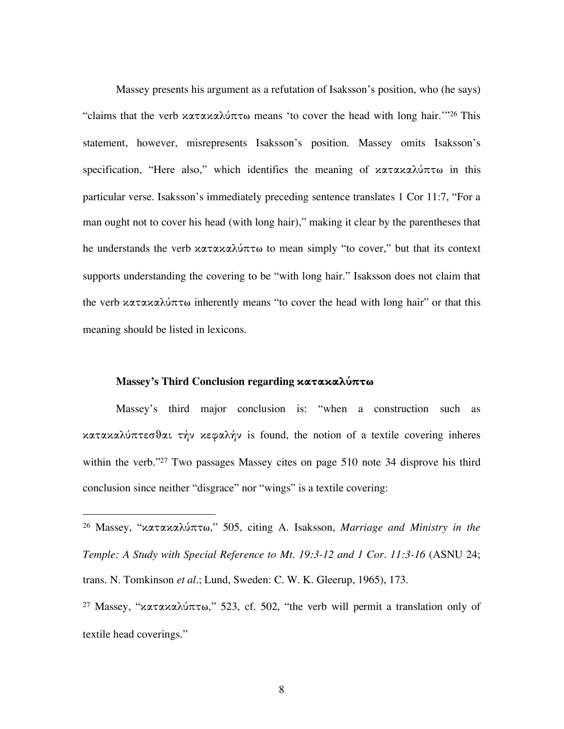Massey presents his argument as a refutation of Isaksson's position, who (he says) "claims that the verb κατακαλύπτω means 'to cover the head with long hair.'"26 This statement, however, misrepresents Isaksson's position. Massey omits Isaksson's specification, "Here also," which identifies the meaning of κατακαλύπτω in this particular verse. Isaksson's immediately preceding sentence translates 1 Cor 11:7, "For a man ought not to cover his head (with long hair)," making it clear by the parentheses that he understands the verb κατακαλύπτω to mean simply "to cover," but that its context supports understanding the covering to be "with long hair." Isaksson does not claim that the verb κατακαλύπτω inherently means "to cover the head with long hair" or that this meaning should be listed in lexicons.

#### **Massey's Third Conclusion regarding κατακαλ˜πτω**

Massey's third major conclusion is: "when a construction such as κατακαλ˜πτεσθαι τὴν κεφαλήν is found, the notion of a textile covering inheres within the verb."<sup>27</sup> Two passages Massey cites on page 510 note 34 disprove his third conclusion since neither "disgrace" nor "wings" is a textile covering:

 <sup>26</sup> Massey, "κατακαλ˜πτω,î 505, citing A. Isaksson, *Marriage and Ministry in the Temple: A Study with Special Reference to Mt. 19:3-12 and 1 Cor. 11:3-16* (ASNU 24; trans. N. Tomkinson *et al.*; Lund, Sweden: C. W. K. Gleerup, 1965), 173.

<sup>&</sup>lt;sup>27</sup> Massey, "κατακαλύπτω," 523, cf. 502, "the verb will permit a translation only of textile head coverings."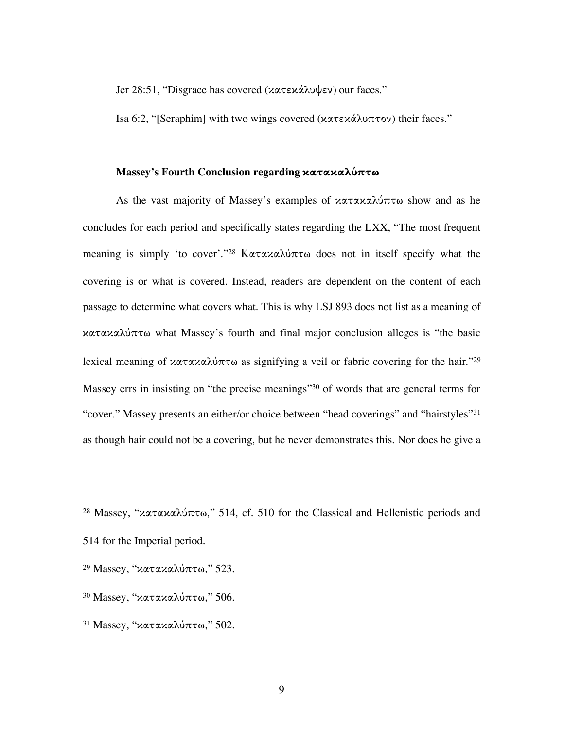Jer 28:51, "Disgrace has covered (κατεκάλυψεν) our faces."

Isa 6:2, "[Seraphim] with two wings covered (κατεκάλυπτον) their faces."

# **Massey's Fourth Conclusion regarding κατακαλ˜πτω**

As the vast majority of Massey's examples of κατακαλύπτω show and as he concludes for each period and specifically states regarding the LXX, "The most frequent meaning is simply 'to cover'."<sup>28</sup> Κατακαλύπτω does not in itself specify what the covering is or what is covered. Instead, readers are dependent on the content of each passage to determine what covers what. This is why LSJ 893 does not list as a meaning of κατακαλ˜πτω what Massey's fourth and final major conclusion alleges is "the basic lexical meaning of κατακαλύπτω as signifying a veil or fabric covering for the hair."<sup>29</sup> Massey errs in insisting on "the precise meanings"30 of words that are general terms for "cover." Massey presents an either/or choice between "head coverings" and "hairstyles"31 as though hair could not be a covering, but he never demonstrates this. Nor does he give a

<sup>&</sup>lt;sup>28</sup> Massey, "κατακαλύπτω," 514, cf. 510 for the Classical and Hellenistic periods and 514 for the Imperial period.

<sup>&</sup>lt;sup>29</sup> Massey, "κατακαλύπτω," 523.

 $30$  Massey, "κατακαλύπτω," 506.

 $31$  Massey, "κατακαλύπτω," 502.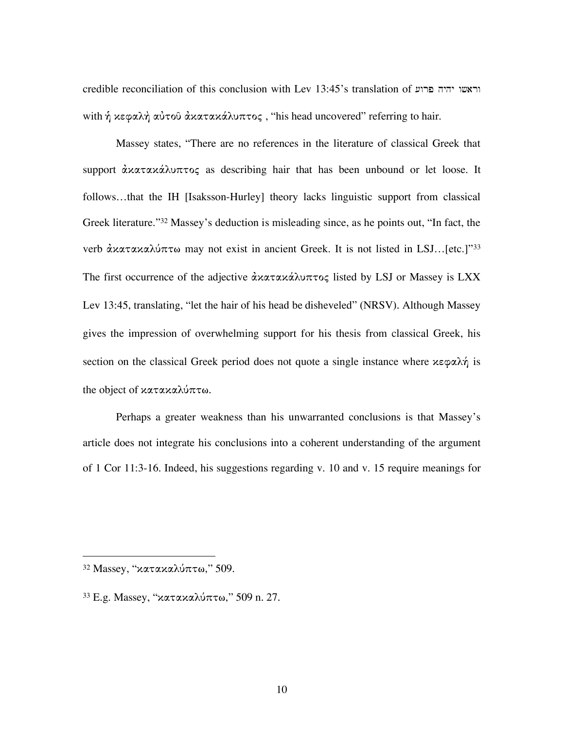credible reconciliation of this conclusion with Lev 13:45's translation of  $r$ וראשו יהיה פרוע with ή κεφαλή αύτοῦ ἀκατακάλυπτος, "his head uncovered" referring to hair.

Massey states, "There are no references in the literature of classical Greek that support αλατακάλυπτος as describing hair that has been unbound or let loose. It follows…that the IH [Isaksson-Hurley] theory lacks linguistic support from classical Greek literature."32 Massey's deduction is misleading since, as he points out, "In fact, the verb ανατακαλύπτω may not exist in ancient Greek. It is not listed in LSJ...[etc.]"33 The first occurrence of the adjective αλαταλάλυπτος listed by LSJ or Massey is LXX Lev 13:45, translating, "let the hair of his head be disheveled" (NRSV). Although Massey gives the impression of overwhelming support for his thesis from classical Greek, his section on the classical Greek period does not quote a single instance where κεφαλή is the object of κατακαλύπτω.

Perhaps a greater weakness than his unwarranted conclusions is that Massey's article does not integrate his conclusions into a coherent understanding of the argument of 1 Cor 11:3-16. Indeed, his suggestions regarding v. 10 and v. 15 require meanings for

 $32$  Massey, "κατακαλύπτω," 509.

 $33$  E.g. Massey, "κατακαλύπτω," 509 n. 27.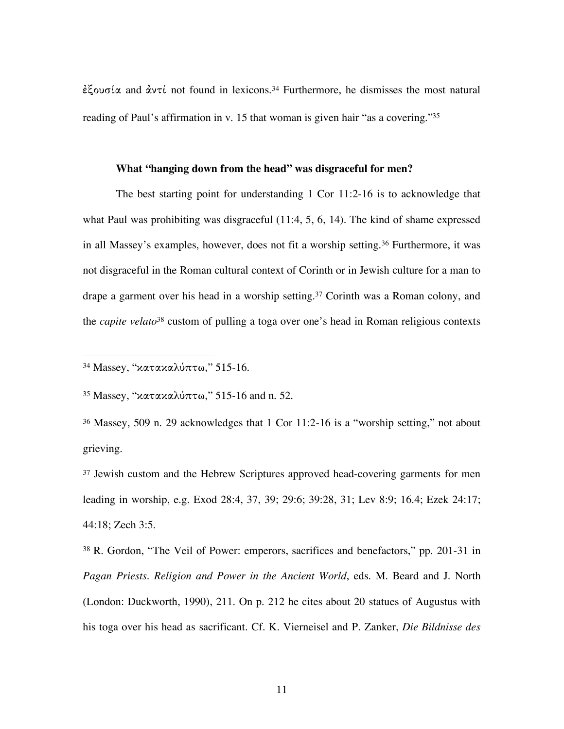έξουσία and αντί not found in lexicons.<sup>34</sup> Furthermore, he dismisses the most natural reading of Paul's affirmation in v. 15 that woman is given hair "as a covering."<sup>35</sup>

#### **What "hanging down from the head" was disgraceful for men?**

The best starting point for understanding 1 Cor 11:2-16 is to acknowledge that what Paul was prohibiting was disgraceful (11:4, 5, 6, 14). The kind of shame expressed in all Massey's examples, however, does not fit a worship setting.36 Furthermore, it was not disgraceful in the Roman cultural context of Corinth or in Jewish culture for a man to drape a garment over his head in a worship setting.37 Corinth was a Roman colony, and the *capite velato*<sup>38</sup> custom of pulling a toga over one's head in Roman religious contexts

<sup>35</sup> Massey, "κατακαλύπτω," 515-16 and n. 52.

<sup>36</sup> Massey, 509 n. 29 acknowledges that 1 Cor 11:2-16 is a "worship setting," not about grieving.

<sup>37</sup> Jewish custom and the Hebrew Scriptures approved head-covering garments for men leading in worship, e.g. Exod 28:4, 37, 39; 29:6; 39:28, 31; Lev 8:9; 16.4; Ezek 24:17; 44:18; Zech 3:5.

<sup>38</sup> R. Gordon, "The Veil of Power: emperors, sacrifices and benefactors," pp. 201-31 in *Pagan Priests. Religion and Power in the Ancient World*, eds. M. Beard and J. North (London: Duckworth, 1990), 211. On p. 212 he cites about 20 statues of Augustus with his toga over his head as sacrificant. Cf. K. Vierneisel and P. Zanker, *Die Bildnisse des*

<sup>&</sup>lt;sup>34</sup> Massey, "κατακαλύπτω," 515-16.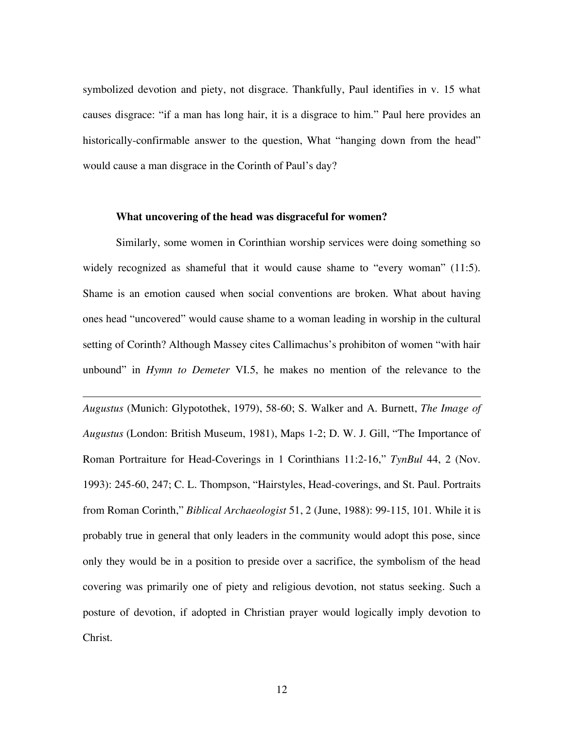symbolized devotion and piety, not disgrace. Thankfully, Paul identifies in v. 15 what causes disgrace: "if a man has long hair, it is a disgrace to him." Paul here provides an historically-confirmable answer to the question, What "hanging down from the head" would cause a man disgrace in the Corinth of Paul's day?

#### **What uncovering of the head was disgraceful for women?**

 $\overline{a}$ 

Similarly, some women in Corinthian worship services were doing something so widely recognized as shameful that it would cause shame to "every woman" (11:5). Shame is an emotion caused when social conventions are broken. What about having ones head "uncovered" would cause shame to a woman leading in worship in the cultural setting of Corinth? Although Massey cites Callimachus's prohibiton of women "with hair unbound" in *Hymn to Demeter* VI.5, he makes no mention of the relevance to the

*Augustus* (Munich: Glypotothek, 1979), 58-60; S. Walker and A. Burnett, *The Image of Augustus* (London: British Museum, 1981), Maps 1-2; D. W. J. Gill, "The Importance of Roman Portraiture for Head-Coverings in 1 Corinthians 11:2-16," *TynBul* 44, 2 (Nov. 1993): 245-60, 247; C. L. Thompson, "Hairstyles, Head-coverings, and St. Paul. Portraits from Roman Corinth," *Biblical Archaeologist* 51, 2 (June, 1988): 99-115, 101. While it is probably true in general that only leaders in the community would adopt this pose, since only they would be in a position to preside over a sacrifice, the symbolism of the head covering was primarily one of piety and religious devotion, not status seeking. Such a posture of devotion, if adopted in Christian prayer would logically imply devotion to Christ.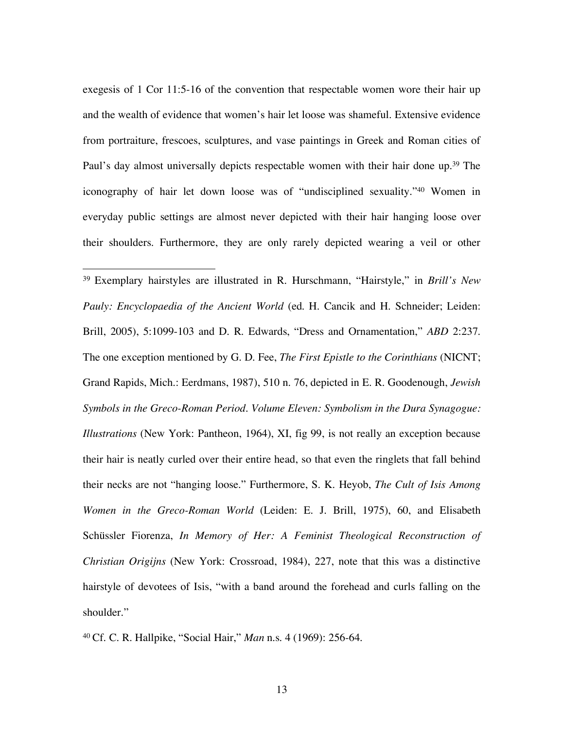exegesis of 1 Cor 11:5-16 of the convention that respectable women wore their hair up and the wealth of evidence that women's hair let loose was shameful. Extensive evidence from portraiture, frescoes, sculptures, and vase paintings in Greek and Roman cities of Paul's day almost universally depicts respectable women with their hair done up.<sup>39</sup> The iconography of hair let down loose was of "undisciplined sexuality."40 Women in everyday public settings are almost never depicted with their hair hanging loose over their shoulders. Furthermore, they are only rarely depicted wearing a veil or other

 39 Exemplary hairstyles are illustrated in R. Hurschmann, "Hairstyle," in *Brill's New Pauly: Encyclopaedia of the Ancient World* (ed. H. Cancik and H. Schneider; Leiden: Brill, 2005), 5:1099-103 and D. R. Edwards, "Dress and Ornamentation," *ABD* 2:237. The one exception mentioned by G. D. Fee, *The First Epistle to the Corinthians* (NICNT; Grand Rapids, Mich.: Eerdmans, 1987), 510 n. 76, depicted in E. R. Goodenough, *Jewish Symbols in the Greco-Roman Period. Volume Eleven: Symbolism in the Dura Synagogue: Illustrations* (New York: Pantheon, 1964), XI, fig 99, is not really an exception because their hair is neatly curled over their entire head, so that even the ringlets that fall behind their necks are not "hanging loose." Furthermore, S. K. Heyob, *The Cult of Isis Among Women in the Greco-Roman World* (Leiden: E. J. Brill, 1975), 60, and Elisabeth Schüssler Fiorenza, *In Memory of Her: A Feminist Theological Reconstruction of Christian Origijns* (New York: Crossroad, 1984), 227, note that this was a distinctive hairstyle of devotees of Isis, "with a band around the forehead and curls falling on the shoulder."

<sup>40</sup> Cf. C. R. Hallpike, "Social Hair," *Man* n.s. 4 (1969): 256-64.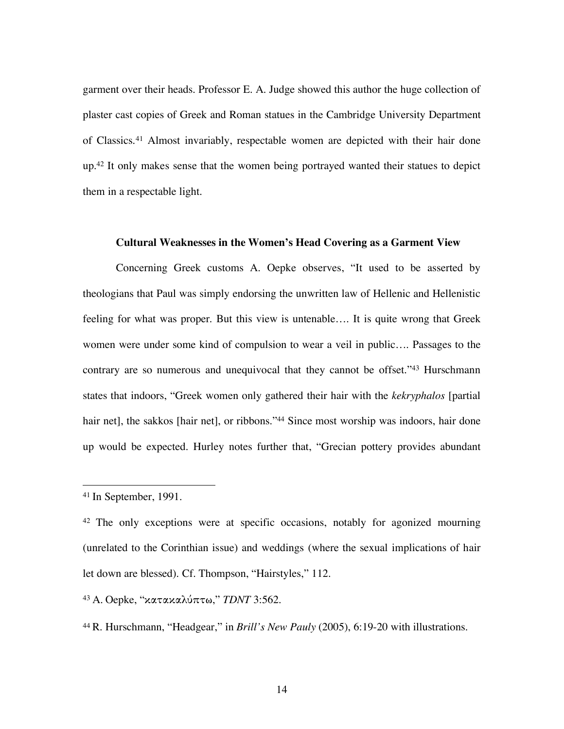garment over their heads. Professor E. A. Judge showed this author the huge collection of plaster cast copies of Greek and Roman statues in the Cambridge University Department of Classics.41 Almost invariably, respectable women are depicted with their hair done up.42 It only makes sense that the women being portrayed wanted their statues to depict them in a respectable light.

#### **Cultural Weaknesses in the Women's Head Covering as a Garment View**

Concerning Greek customs A. Oepke observes, "It used to be asserted by theologians that Paul was simply endorsing the unwritten law of Hellenic and Hellenistic feeling for what was proper. But this view is untenable…. It is quite wrong that Greek women were under some kind of compulsion to wear a veil in public…. Passages to the contrary are so numerous and unequivocal that they cannot be offset."43 Hurschmann states that indoors, "Greek women only gathered their hair with the *kekryphalos* [partial hair net], the sakkos [hair net], or ribbons."<sup>44</sup> Since most worship was indoors, hair done up would be expected. Hurley notes further that, "Grecian pottery provides abundant

<sup>43</sup> A. Oepke, "κατακαλ˜πτω," *TDNT* 3:562.

<sup>44</sup> R. Hurschmann, "Headgear," in *Brill's New Pauly* (2005), 6:19-20 with illustrations.

 <sup>41</sup> In September, 1991.

<sup>&</sup>lt;sup>42</sup> The only exceptions were at specific occasions, notably for agonized mourning (unrelated to the Corinthian issue) and weddings (where the sexual implications of hair let down are blessed). Cf. Thompson, "Hairstyles," 112.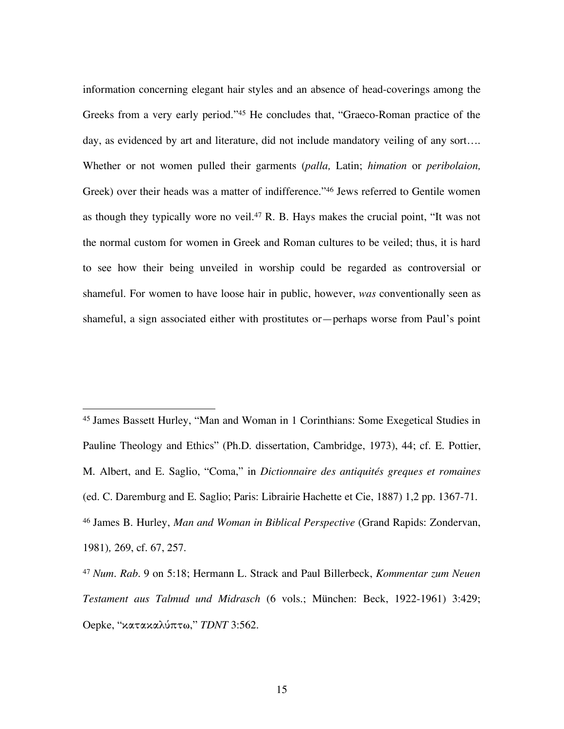information concerning elegant hair styles and an absence of head-coverings among the Greeks from a very early period."45 He concludes that, "Graeco-Roman practice of the day, as evidenced by art and literature, did not include mandatory veiling of any sort…. Whether or not women pulled their garments (*palla,* Latin; *himation* or *peribolaion,* Greek) over their heads was a matter of indifference."46 Jews referred to Gentile women as though they typically wore no veil. <sup>47</sup> R. B. Hays makes the crucial point, "It was not the normal custom for women in Greek and Roman cultures to be veiled; thus, it is hard to see how their being unveiled in worship could be regarded as controversial or shameful. For women to have loose hair in public, however, *was* conventionally seen as shameful, a sign associated either with prostitutes or—perhaps worse from Paul's point

 45 James Bassett Hurley, "Man and Woman in 1 Corinthians: Some Exegetical Studies in Pauline Theology and Ethics" (Ph.D. dissertation, Cambridge, 1973), 44; cf. E. Pottier, M. Albert, and E. Saglio, "Coma," in *Dictionnaire des antiquités greques et romaines* (ed. C. Daremburg and E. Saglio; Paris: Librairie Hachette et Cie, 1887) 1,2 pp. 1367-71. <sup>46</sup> James B. Hurley, *Man and Woman in Biblical Perspective* (Grand Rapids: Zondervan, 1981)*,* 269, cf. 67, 257.

<sup>47</sup> *Num. Rab.* 9 on 5:18; Hermann L. Strack and Paul Billerbeck, *Kommentar zum Neuen Testament aus Talmud und Midrasch* (6 vols.; München: Beck, 1922-1961) 3:429; Oepke, "κατακαλ˜πτω," *TDNT* 3:562.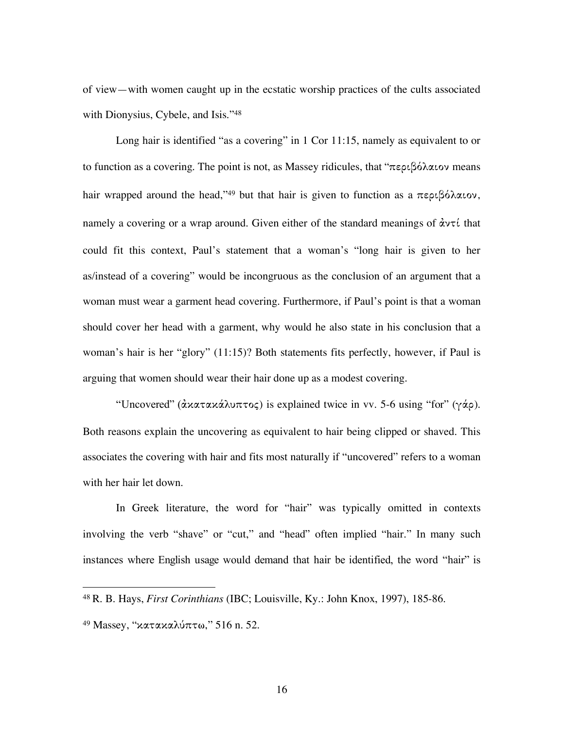of view—with women caught up in the ecstatic worship practices of the cults associated with Dionysius, Cybele, and Isis."48

Long hair is identified "as a covering" in 1 Cor 11:15, namely as equivalent to or to function as a covering. The point is not, as Massey ridicules, that "περιβόλαιον means hair wrapped around the head,"<sup>49</sup> but that hair is given to function as a περιβόλαιον, namely a covering or a wrap around. Given either of the standard meanings of  $\dot{\alpha}$ ντί that could fit this context, Paul's statement that a woman's "long hair is given to her as/instead of a covering" would be incongruous as the conclusion of an argument that a woman must wear a garment head covering. Furthermore, if Paul's point is that a woman should cover her head with a garment, why would he also state in his conclusion that a woman's hair is her "glory" (11:15)? Both statements fits perfectly, however, if Paul is arguing that women should wear their hair done up as a modest covering.

"Uncovered" (ἀκατακάλυπτος) is explained twice in vv. 5-6 using "for" (γάρ). Both reasons explain the uncovering as equivalent to hair being clipped or shaved. This associates the covering with hair and fits most naturally if "uncovered" refers to a woman with her hair let down.

In Greek literature, the word for "hair" was typically omitted in contexts involving the verb "shave" or "cut," and "head" often implied "hair." In many such instances where English usage would demand that hair be identified, the word "hair" is

 <sup>48</sup> R. B. Hays, *First Corinthians* (IBC; Louisville, Ky.: John Knox, 1997), 185-86.

<sup>&</sup>lt;sup>49</sup> Massey, "κατακαλύπτω," 516 n. 52.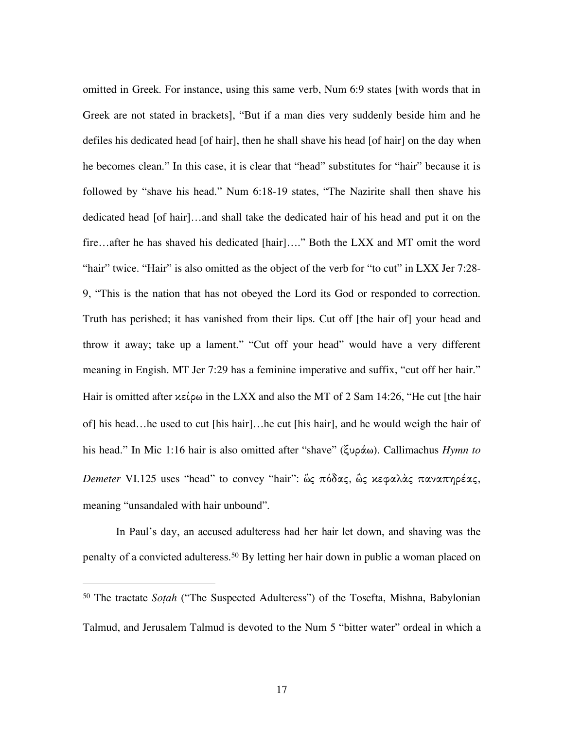omitted in Greek. For instance, using this same verb, Num 6:9 states [with words that in Greek are not stated in brackets], "But if a man dies very suddenly beside him and he defiles his dedicated head [of hair], then he shall shave his head [of hair] on the day when he becomes clean." In this case, it is clear that "head" substitutes for "hair" because it is followed by "shave his head." Num 6:18-19 states, "The Nazirite shall then shave his dedicated head [of hair]…and shall take the dedicated hair of his head and put it on the fire…after he has shaved his dedicated [hair]…." Both the LXX and MT omit the word "hair" twice. "Hair" is also omitted as the object of the verb for "to cut" in LXX Jer 7:28-9, "This is the nation that has not obeyed the Lord its God or responded to correction. Truth has perished; it has vanished from their lips. Cut off [the hair of] your head and throw it away; take up a lament." "Cut off your head" would have a very different meaning in Engish. MT Jer 7:29 has a feminine imperative and suffix, "cut off her hair." Hair is omitted after  $x \in \mathcal{L}$  in the LXX and also the MT of 2 Sam 14:26, "He cut [the hair of] his head…he used to cut [his hair]…he cut [his hair], and he would weigh the hair of his head." In Mic 1:16 hair is also omitted after "shave" (ξυράω). Callimachus *Hymn to Demeter* VI.125 uses "head" to convey "hair": ὣς πόδας, ὣς κεφαλὰς παναπηρέας, meaning "unsandaled with hair unbound".

In Paul's day, an accused adulteress had her hair let down, and shaving was the penalty of a convicted adulteress.50 By letting her hair down in public a woman placed on

 $\overline{a}$ 

<sup>50</sup> The tractate *Soṭah* ("The Suspected Adulteress") of the Tosefta, Mishna, Babylonian Talmud, and Jerusalem Talmud is devoted to the Num 5 "bitter water" ordeal in which a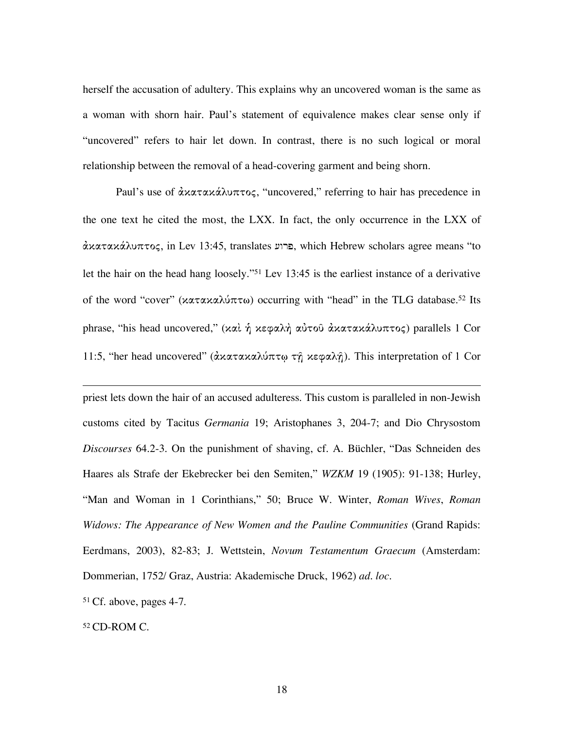herself the accusation of adultery. This explains why an uncovered woman is the same as a woman with shorn hair. Paul's statement of equivalence makes clear sense only if "uncovered" refers to hair let down. In contrast, there is no such logical or moral relationship between the removal of a head-covering garment and being shorn.

Paul's use of άκατακάλυπτος, "uncovered," referring to hair has precedence in the one text he cited the most, the LXX. In fact, the only occurrence in the LXX of ἀκατακÌλυπτος, in Lev 13:45, translates [wrp, which Hebrew scholars agree means "to let the hair on the head hang loosely."51 Lev 13:45 is the earliest instance of a derivative of the word "cover" (κατακαλύπτω) occurring with "head" in the TLG database.<sup>52</sup> Its phrase, "his head uncovered," (καὶ ή κεφαλή αὐτοῦ ἀκατακάλυπτος) parallels 1 Cor 11:5, "her head uncovered" (ἀκατακαλύπτω τῆ κεφαλῆ). This interpretation of 1 Cor

priest lets down the hair of an accused adulteress. This custom is paralleled in non-Jewish customs cited by Tacitus *Germania* 19; Aristophanes 3, 204-7; and Dio Chrysostom *Discourses* 64.2-3. On the punishment of shaving, cf. A. Büchler, "Das Schneiden des Haares als Strafe der Ekebrecker bei den Semiten," *WZKM* 19 (1905): 91-138; Hurley, "Man and Woman in 1 Corinthians," 50; Bruce W. Winter, *Roman Wives*, *Roman Widows: The Appearance of New Women and the Pauline Communities* (Grand Rapids: Eerdmans, 2003), 82-83; J. Wettstein, *Novum Testamentum Graecum* (Amsterdam: Dommerian, 1752/ Graz, Austria: Akademische Druck, 1962) *ad. loc*.

<sup>51</sup> Cf. above, pages 4-7.

<sup>52</sup> CD-ROM C.

 $\overline{a}$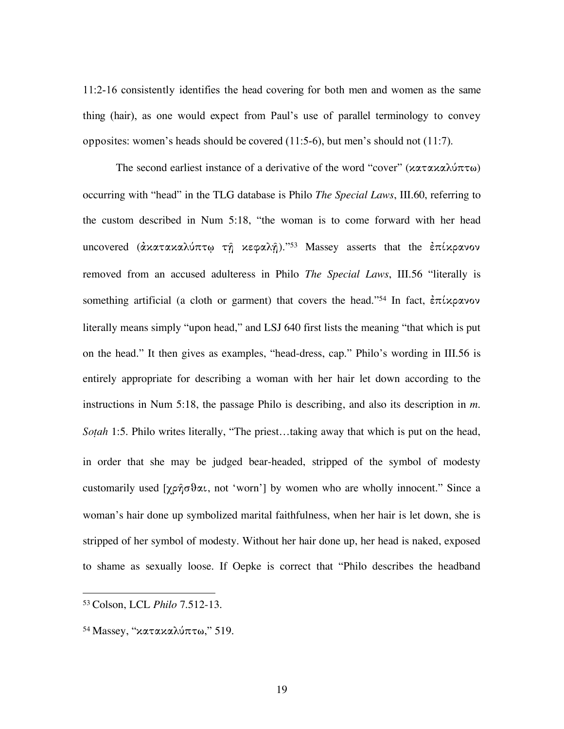11:2-16 consistently identifies the head covering for both men and women as the same thing (hair), as one would expect from Paul's use of parallel terminology to convey opposites: women's heads should be covered (11:5-6), but men's should not (11:7).

The second earliest instance of a derivative of the word "cover" (κατακαλύπτω) occurring with "head" in the TLG database is Philo *The Special Laws*, III.60, referring to the custom described in Num 5:18, "the woman is to come forward with her head uncovered (άκατακαλύπτω τη κεφαλη)."53 Massey asserts that the επίκρανον removed from an accused adulteress in Philo *The Special Laws*, III.56 "literally is something artificial (a cloth or garment) that covers the head."<sup>54</sup> In fact,  $\dot{\epsilon} \pi \dot{\iota} \chi$   $\rho \alpha$  yov literally means simply "upon head," and LSJ 640 first lists the meaning "that which is put on the head." It then gives as examples, "head-dress, cap." Philo's wording in III.56 is entirely appropriate for describing a woman with her hair let down according to the instructions in Num 5:18, the passage Philo is describing, and also its description in *m. Soṭah* 1:5. Philo writes literally, "The priest…taking away that which is put on the head, in order that she may be judged bear-headed, stripped of the symbol of modesty customarily used [χρῆσθαι, not 'worn'] by women who are wholly innocent." Since a woman's hair done up symbolized marital faithfulness, when her hair is let down, she is stripped of her symbol of modesty. Without her hair done up, her head is naked, exposed to shame as sexually loose. If Oepke is correct that "Philo describes the headband

 <sup>53</sup> Colson, LCL *Philo* 7.512-13.

 $54$  Massey, "κατακαλύπτω," 519.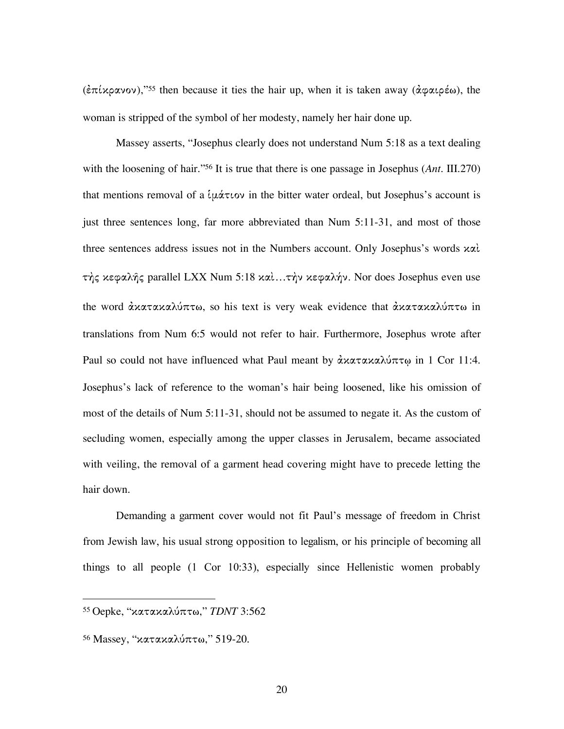(ἐπίκρανον),"55 then because it ties the hair up, when it is taken away (ἀφαιρέω), the woman is stripped of the symbol of her modesty, namely her hair done up.

Massey asserts, "Josephus clearly does not understand Num 5:18 as a text dealing with the loosening of hair."56 It is true that there is one passage in Josephus (*Ant.* III.270) that mentions removal of a  $\ell \mu \dot{\alpha} \tau \omega$  in the bitter water ordeal, but Josephus's account is just three sentences long, far more abbreviated than Num 5:11-31, and most of those three sentences address issues not in the Numbers account. Only Josephus's words καὶ τής κεφαλής parallel LXX Num 5:18 καί...τήν κεφαλήν. Nor does Josephus even use the word ἀκατακαλύπτω, so his text is very weak evidence that ἀκατακαλύπτω in translations from Num 6:5 would not refer to hair. Furthermore, Josephus wrote after Paul so could not have influenced what Paul meant by άκατακαλύπτω in 1 Cor 11:4. Josephus's lack of reference to the woman's hair being loosened, like his omission of most of the details of Num 5:11-31, should not be assumed to negate it. As the custom of secluding women, especially among the upper classes in Jerusalem, became associated with veiling, the removal of a garment head covering might have to precede letting the hair down.

Demanding a garment cover would not fit Paul's message of freedom in Christ from Jewish law, his usual strong opposition to legalism, or his principle of becoming all things to all people (1 Cor 10:33), especially since Hellenistic women probably

 <sup>55</sup> Oepke, "κατακαλ˜πτω,î *TDNT* 3:562

 $56$  Massey, "κατακαλύπτω," 519-20.